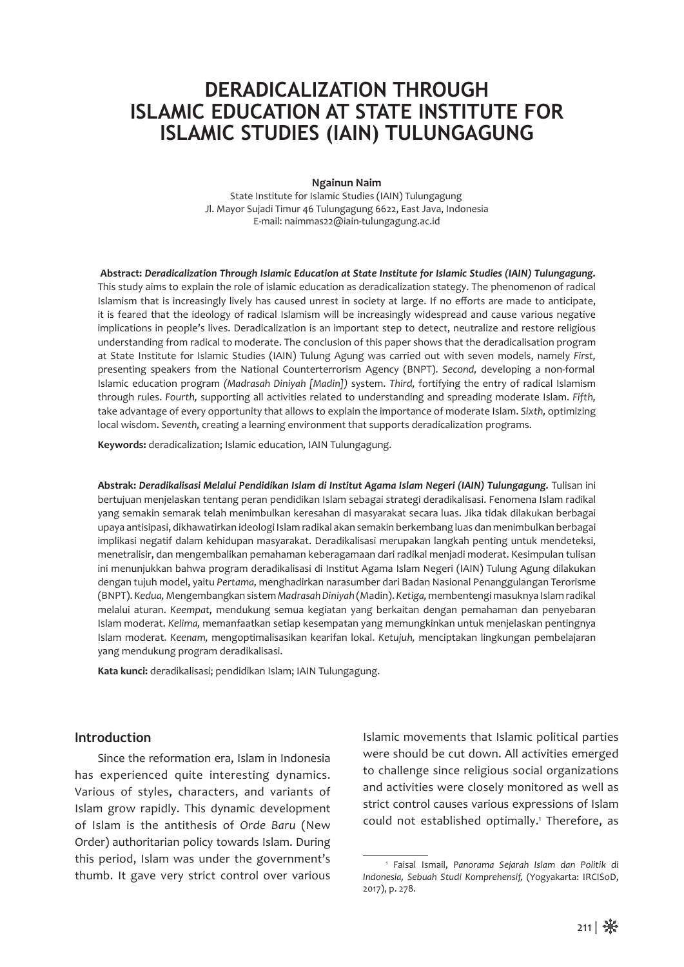# **DERADICALIZATION THROUGH ISLAMIC EDUCATION AT STATE INSTITUTE FOR ISLAMIC STUDIES (IAIN) TULUNGAGUNG**

**Ngainun Naim**

Jl. Mayor Sujadi Timur 46 Tulungagung 6622, East Java, Indonesia E-mail: naimmas22@iain-tulungagung.ac.id State Institute for Islamic Studies (IAIN) Tulungagung

**Abstract:** *Deradicalization Through Islamic Education at State Institute for Islamic Studies (IAIN) Tulungagung.*  This study aims to explain the role of islamic education as deradicalization stategy. The phenomenon of radical Islamism that is increasingly lively has caused unrest in society at large. If no efforts are made to anticipate, it is feared that the ideology of radical Islamism will be increasingly widespread and cause various negative implications in people's lives. Deradicalization is an important step to detect, neutralize and restore religious understanding from radical to moderate. The conclusion of this paper shows that the deradicalisation program at State Institute for Islamic Studies (IAIN) Tulung Agung was carried out with seven models, namely *First,*  Islamic education program *(Madrasah Diniyah [Madin])* system. *Third,* fortifying the entry of radical Islamism take advantage of every opportunity that allows to explain the importance of moderate Islam. *Sixth,* optimizing local wisdom. *Seventh,* creating a learning environment that supports deradicalization programs. through rules. *Fourth,* supporting all activities related to understanding and spreading moderate Islam. *Fifth,*  presenting speakers from the National Counterterrorism Agency (BNPT). *Second,* developing a non-formal

**Keywords:** deradicalization; Islamic education*,* IAIN Tulungagung.

**Abstrak:** *Deradikalisasi Melalui Pendidikan Islam di Institut Agama Islam Negeri (IAIN) Tulungagung.* Tulisan ini bertujuan menjelaskan tentang peran pendidikan Islam sebagai strategi deradikalisasi. Fenomena Islam radikal yang semakin semarak telah menimbulkan keresahan di masyarakat secara luas. Jika tidak dilakukan berbagai upaya antisipasi, dikhawatirkan ideologi Islam radikal akan semakin berkembang luas dan menimbulkan berbagai implikasi negatif dalam kehidupan masyarakat. Deradikalisasi merupakan langkah penting untuk mendeteksi, menetralisir, dan mengembalikan pemahaman keberagamaan dari radikal menjadi moderat. Kesimpulan tulisan ini menunjukkan bahwa program deradikalisasi di Institut Agama Islam Negeri (IAIN) Tulung Agung dilakukan dengan tujuh model, yaitu *Pertama,* menghadirkan narasumber dari Badan Nasional Penanggulangan Terorisme (BNPT). *Kedua,*Mengembangkan sistem *Madrasah Diniyah* (Madin). *Ketiga,* membentengi masuknya Islam radikal melalui aturan. *Keempat,* mendukung semua kegiatan yang berkaitan dengan pemahaman dan penyebaran Islam moderat. *Kelima,* memanfaatkan setiap kesempatan yang memungkinkan untuk menjelaskan pentingnya Islam moderat. *Keenam,* mengoptimalisasikan kearifan lokal. *Ketujuh,* menciptakan lingkungan pembelajaran yang mendukung program deradikalisasi.

**Kata kunci:** deradikalisasi; pendidikan Islam; IAIN Tulungagung.

#### **Introduction**

Since the reformation era, Islam in Indonesia has experienced quite interesting dynamics. Various of styles, characters, and variants of Islam grow rapidly. This dynamic development of Islam is the antithesis of *Orde Baru* (New Order) authoritarian policy towards Islam. During this period, Islam was under the government's thumb. It gave very strict control over various Islamic movements that Islamic political parties were should be cut down. All activities emerged to challenge since religious social organizations and activities were closely monitored as well as strict control causes various expressions of Islam could not established optimally.<sup>1</sup> Therefore, as

<sup>1</sup> Faisal Ismail, *Panorama Sejarah Islam dan Politik di Indonesia, Sebuah Studi Komprehensif,* (Yogyakarta: IRCISoD, 2017), p. 278.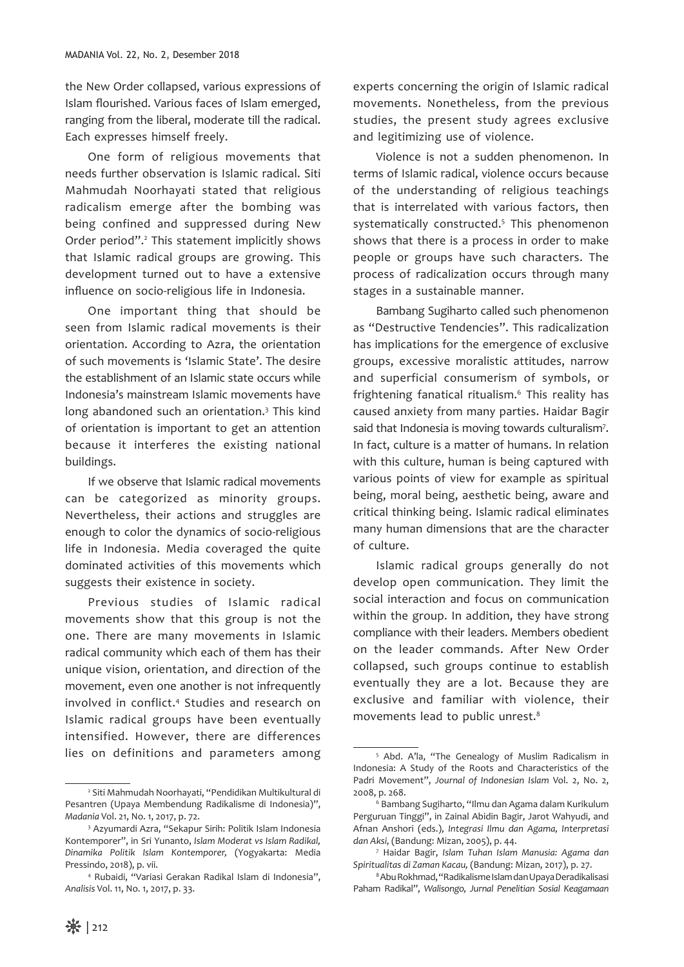the New Order collapsed, various expressions of Islam flourished. Various faces of Islam emerged, ranging from the liberal, moderate till the radical. Each expresses himself freely.

One form of religious movements that needs further observation is Islamic radical. Siti Mahmudah Noorhayati stated that religious radicalism emerge after the bombing was being confined and suppressed during New Order period".<sup>2</sup> This statement implicitly shows that Islamic radical groups are growing. This development turned out to have a extensive influence on socio-religious life in Indonesia.

One important thing that should be seen from Islamic radical movements is their orientation. According to Azra, the orientation of such movements is 'Islamic State'. The desire the establishment of an Islamic state occurs while Indonesia's mainstream Islamic movements have long abandoned such an orientation.<sup>3</sup> This kind of orientation is important to get an attention because it interferes the existing national buildings.

If we observe that Islamic radical movements can be categorized as minority groups. Nevertheless, their actions and struggles are enough to color the dynamics of socio-religious life in Indonesia. Media coveraged the quite dominated activities of this movements which suggests their existence in society.

Previous studies of Islamic radical movements show that this group is not the one. There are many movements in Islamic radical community which each of them has their unique vision, orientation, and direction of the movement, even one another is not infrequently involved in conflict.4 Studies and research on Islamic radical groups have been eventually intensified. However, there are differences lies on definitions and parameters among experts concerning the origin of Islamic radical movements. Nonetheless, from the previous studies, the present study agrees exclusive and legitimizing use of violence.

Violence is not a sudden phenomenon. In terms of Islamic radical, violence occurs because of the understanding of religious teachings that is interrelated with various factors, then systematically constructed.<sup>5</sup> This phenomenon shows that there is a process in order to make people or groups have such characters. The process of radicalization occurs through many stages in a sustainable manner.

Bambang Sugiharto called such phenomenon as "Destructive Tendencies". This radicalization has implications for the emergence of exclusive groups, excessive moralistic attitudes, narrow and superficial consumerism of symbols, or frightening fanatical ritualism.6 This reality has caused anxiety from many parties. Haidar Bagir said that Indonesia is moving towards culturalism<sup>7</sup>. In fact, culture is a matter of humans. In relation with this culture, human is being captured with various points of view for example as spiritual being, moral being, aesthetic being, aware and critical thinking being. Islamic radical eliminates many human dimensions that are the character of culture.

Islamic radical groups generally do not develop open communication. They limit the social interaction and focus on communication within the group. In addition, they have strong compliance with their leaders. Members obedient on the leader commands. After New Order collapsed, such groups continue to establish eventually they are a lot. Because they are exclusive and familiar with violence, their movements lead to public unrest.8

<sup>2</sup> Siti Mahmudah Noorhayati, "Pendidikan Multikultural di Pesantren (Upaya Membendung Radikalisme di Indonesia)", *Madania* Vol. 21, No. 1, 2017, p. 72.

<sup>3</sup> Azyumardi Azra, "Sekapur Sirih: Politik Islam Indonesia Kontemporer", in Sri Yunanto, *Islam Moderat vs Islam Radikal, Dinamika Politik Islam Kontemporer,* (Yogyakarta: Media Pressindo, 2018), p. vii.

<sup>4</sup> Rubaidi, "Variasi Gerakan Radikal Islam di Indonesia", *Analisis* Vol. 11, No. 1, 2017, p. 33.

<sup>5</sup> Abd. A'la, "The Genealogy of Muslim Radicalism in Indonesia: A Study of the Roots and Characteristics of the Padri Movement", *Journal of Indonesian Islam* Vol. 2, No. 2, 2008, p. 268.

<sup>6</sup> Bambang Sugiharto, "Ilmu dan Agama dalam Kurikulum Perguruan Tinggi", in Zainal Abidin Bagir, Jarot Wahyudi, and Afnan Anshori (eds.), *Integrasi Ilmu dan Agama, Interpretasi dan Aksi,* (Bandung: Mizan, 2005), p. 44.

<sup>7</sup> Haidar Bagir, *Islam Tuhan Islam Manusia: Agama dan Spiritualitas di Zaman Kacau,* (Bandung: Mizan, 2017), p. 27.

<sup>8</sup> Abu Rokhmad, "Radikalisme Islam dan Upaya Deradikalisasi Paham Radikal", *Walisongo, Jurnal Penelitian Sosial Keagamaan*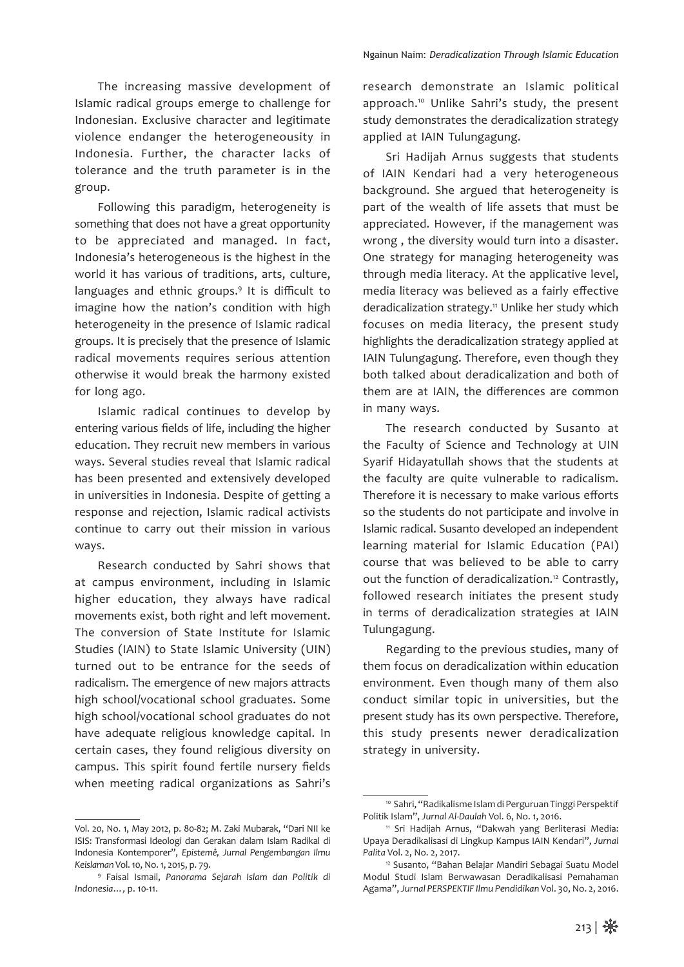The increasing massive development of Islamic radical groups emerge to challenge for Indonesian. Exclusive character and legitimate violence endanger the heterogeneousity in Indonesia. Further, the character lacks of tolerance and the truth parameter is in the group.

Following this paradigm, heterogeneity is something that does not have a great opportunity to be appreciated and managed. In fact, Indonesia's heterogeneous is the highest in the world it has various of traditions, arts, culture, languages and ethnic groups.<sup>9</sup> It is difficult to imagine how the nation's condition with high heterogeneity in the presence of Islamic radical groups. It is precisely that the presence of Islamic radical movements requires serious attention otherwise it would break the harmony existed for long ago.

Islamic radical continues to develop by entering various fields of life, including the higher education. They recruit new members in various ways. Several studies reveal that Islamic radical has been presented and extensively developed in universities in Indonesia. Despite of getting a response and rejection, Islamic radical activists continue to carry out their mission in various ways.

Research conducted by Sahri shows that at campus environment, including in Islamic higher education, they always have radical movements exist, both right and left movement. The conversion of State Institute for Islamic Studies (IAIN) to State Islamic University (UIN) turned out to be entrance for the seeds of radicalism. The emergence of new majors attracts high school/vocational school graduates. Some high school/vocational school graduates do not have adequate religious knowledge capital. In certain cases, they found religious diversity on campus. This spirit found fertile nursery fields when meeting radical organizations as Sahri's

research demonstrate an Islamic political approach.<sup>10</sup> Unlike Sahri's study, the present study demonstrates the deradicalization strategy applied at IAIN Tulungagung.

Sri Hadijah Arnus suggests that students of IAIN Kendari had a very heterogeneous background. She argued that heterogeneity is part of the wealth of life assets that must be appreciated. However, if the management was wrong , the diversity would turn into a disaster. One strategy for managing heterogeneity was through media literacy. At the applicative level, media literacy was believed as a fairly effective deradicalization strategy.<sup>11</sup> Unlike her study which focuses on media literacy, the present study highlights the deradicalization strategy applied at IAIN Tulungagung. Therefore, even though they both talked about deradicalization and both of them are at IAIN, the differences are common in many ways.

The research conducted by Susanto at the Faculty of Science and Technology at UIN Syarif Hidayatullah shows that the students at the faculty are quite vulnerable to radicalism. Therefore it is necessary to make various efforts so the students do not participate and involve in Islamic radical. Susanto developed an independent learning material for Islamic Education (PAI) course that was believed to be able to carry out the function of deradicalization.12 Contrastly, followed research initiates the present study in terms of deradicalization strategies at IAIN Tulungagung.

Regarding to the previous studies, many of them focus on deradicalization within education environment. Even though many of them also conduct similar topic in universities, but the present study has its own perspective. Therefore, this study presents newer deradicalization strategy in university.

Vol. 20, No. 1, May 2012, p. 80-82; M. Zaki Mubarak, "Dari NII ke ISIS: Transformasi Ideologi dan Gerakan dalam Islam Radikal di Indonesia Kontemporer", *Epistemê, Jurnal Pengembangan Ilmu Keislaman* Vol. 10, No. 1, 2015, p. 79.

<sup>9</sup> Faisal Ismail, *Panorama Sejarah Islam dan Politik di Indonesia…,* p. 10-11.

<sup>10</sup> Sahri, "Radikalisme Islam di Perguruan Tinggi Perspektif Politik Islam", *Jurnal Al-Daulah* Vol. 6, No. 1, 2016.

<sup>11</sup> Sri Hadijah Arnus, "Dakwah yang Berliterasi Media: Upaya Deradikalisasi di Lingkup Kampus IAIN Kendari", *Jurnal Palita* Vol. 2, No. 2, 2017.

<sup>12</sup> Susanto, "Bahan Belajar Mandiri Sebagai Suatu Model Modul Studi Islam Berwawasan Deradikalisasi Pemahaman Agama", *Jurnal PERSPEKTIF Ilmu Pendidikan* Vol. 30, No. 2, 2016.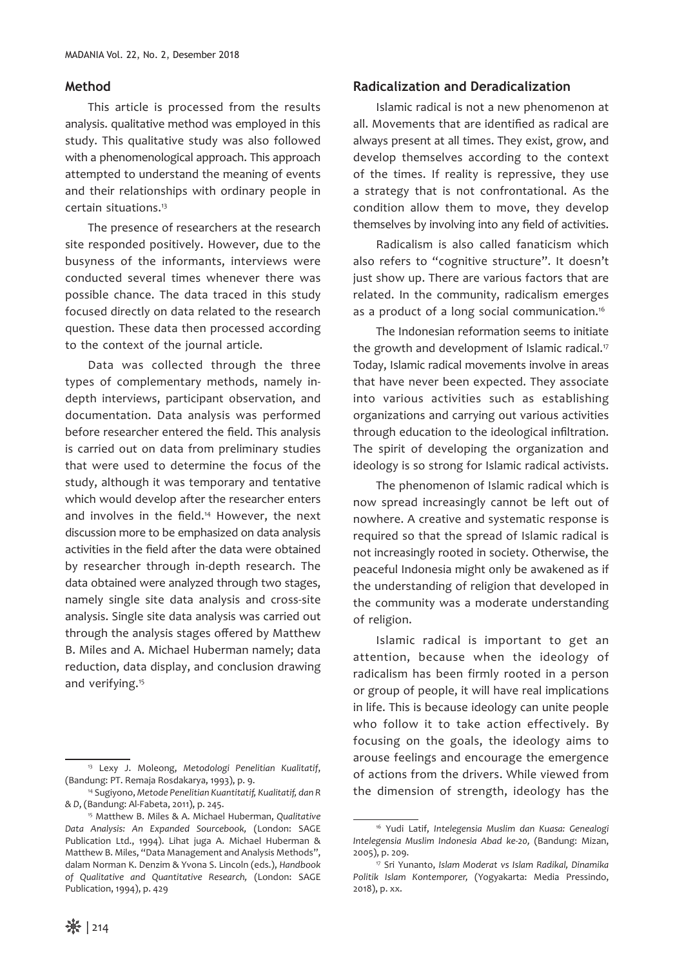#### **Method**

This article is processed from the results analysis. qualitative method was employed in this study. This qualitative study was also followed with a phenomenological approach. This approach attempted to understand the meaning of events and their relationships with ordinary people in certain situations.13

The presence of researchers at the research site responded positively. However, due to the busyness of the informants, interviews were conducted several times whenever there was possible chance. The data traced in this study focused directly on data related to the research question. These data then processed according to the context of the journal article.

Data was collected through the three types of complementary methods, namely indepth interviews, participant observation, and documentation. Data analysis was performed before researcher entered the field. This analysis is carried out on data from preliminary studies that were used to determine the focus of the study, although it was temporary and tentative which would develop after the researcher enters and involves in the field.<sup>14</sup> However, the next discussion more to be emphasized on data analysis activities in the field after the data were obtained by researcher through in-depth research. The data obtained were analyzed through two stages, namely single site data analysis and cross-site analysis. Single site data analysis was carried out through the analysis stages offered by Matthew B. Miles and A. Michael Huberman namely; data reduction, data display, and conclusion drawing and verifying.15

#### **Radicalization and Deradicalization**

Islamic radical is not a new phenomenon at all. Movements that are identified as radical are always present at all times. They exist, grow, and develop themselves according to the context of the times. If reality is repressive, they use a strategy that is not confrontational. As the condition allow them to move, they develop themselves by involving into any field of activities.

Radicalism is also called fanaticism which also refers to "cognitive structure". It doesn't just show up. There are various factors that are related. In the community, radicalism emerges as a product of a long social communication.<sup>16</sup>

The Indonesian reformation seems to initiate the growth and development of Islamic radical.<sup>17</sup> Today, Islamic radical movements involve in areas that have never been expected. They associate into various activities such as establishing organizations and carrying out various activities through education to the ideological infiltration. The spirit of developing the organization and ideology is so strong for Islamic radical activists.

The phenomenon of Islamic radical which is now spread increasingly cannot be left out of nowhere. A creative and systematic response is required so that the spread of Islamic radical is not increasingly rooted in society. Otherwise, the peaceful Indonesia might only be awakened as if the understanding of religion that developed in the community was a moderate understanding of religion.

Islamic radical is important to get an attention, because when the ideology of radicalism has been firmly rooted in a person or group of people, it will have real implications in life. This is because ideology can unite people who follow it to take action effectively. By focusing on the goals, the ideology aims to arouse feelings and encourage the emergence of actions from the drivers. While viewed from the dimension of strength, ideology has the

<sup>13</sup> Lexy J. Moleong, *Metodologi Penelitian Kualitatif*, (Bandung: PT. Remaja Rosdakarya, 1993), p. 9.

<sup>14</sup> Sugiyono, *Metode Penelitian Kuantitatif, Kualitatif, dan R & D*, (Bandung: Al-Fabeta, 2011), p. 245.

<sup>15</sup> Matthew B. Miles & A. Michael Huberman, *Qualitative Data Analysis: An Expanded Sourcebook,* (London: SAGE Publication Ltd., 1994). Lihat juga A. Michael Huberman & Matthew B. Miles, "Data Management and Analysis Methods", dalam Norman K. Denzim & Yvona S. Lincoln (eds.), *Handbook of Qualitative and Quantitative Research,* (London: SAGE Publication, 1994), p. 429

<sup>16</sup> Yudi Latif, *Intelegensia Muslim dan Kuasa: Genealogi Intelegensia Muslim Indonesia Abad ke-20,* (Bandung: Mizan, 2005), p. 209.

<sup>17</sup> Sri Yunanto, *Islam Moderat vs Islam Radikal, Dinamika Politik Islam Kontemporer,* (Yogyakarta: Media Pressindo, 2018), p. xx.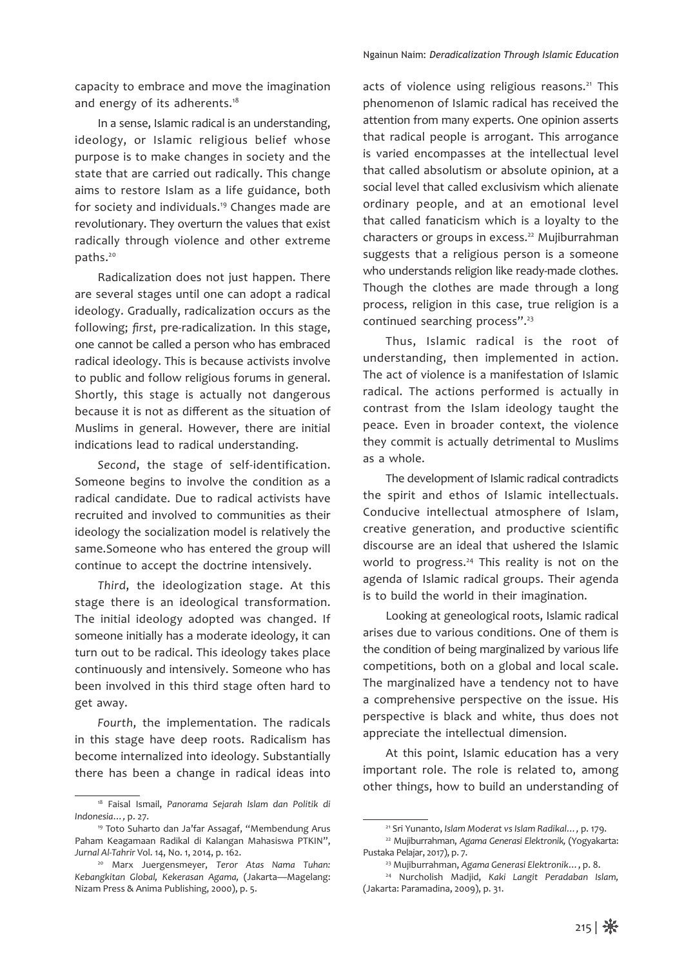capacity to embrace and move the imagination and energy of its adherents.<sup>18</sup>

In a sense, Islamic radical is an understanding, ideology, or Islamic religious belief whose purpose is to make changes in society and the state that are carried out radically. This change aims to restore Islam as a life guidance, both for society and individuals.19 Changes made are revolutionary. They overturn the values that exist radically through violence and other extreme paths.20

Radicalization does not just happen. There are several stages until one can adopt a radical ideology. Gradually, radicalization occurs as the following; *first*, pre-radicalization. In this stage, one cannot be called a person who has embraced radical ideology. This is because activists involve to public and follow religious forums in general. Shortly, this stage is actually not dangerous because it is not as different as the situation of Muslims in general. However, there are initial indications lead to radical understanding.

*Second*, the stage of self-identification. Someone begins to involve the condition as a radical candidate. Due to radical activists have recruited and involved to communities as their ideology the socialization model is relatively the same.Someone who has entered the group will continue to accept the doctrine intensively.

*Third*, the ideologization stage. At this stage there is an ideological transformation. The initial ideology adopted was changed. If someone initially has a moderate ideology, it can turn out to be radical. This ideology takes place continuously and intensively. Someone who has been involved in this third stage often hard to get away.

*Fourth*, the implementation. The radicals in this stage have deep roots. Radicalism has become internalized into ideology. Substantially there has been a change in radical ideas into

acts of violence using religious reasons.<sup>21</sup> This phenomenon of Islamic radical has received the attention from many experts. One opinion asserts that radical people is arrogant. This arrogance is varied encompasses at the intellectual level that called absolutism or absolute opinion, at a social level that called exclusivism which alienate ordinary people, and at an emotional level that called fanaticism which is a loyalty to the characters or groups in excess.<sup>22</sup> Mujiburrahman suggests that a religious person is a someone who understands religion like ready-made clothes. Though the clothes are made through a long process, religion in this case, true religion is a continued searching process".23

Thus, Islamic radical is the root of understanding, then implemented in action. The act of violence is a manifestation of Islamic radical. The actions performed is actually in contrast from the Islam ideology taught the peace. Even in broader context, the violence they commit is actually detrimental to Muslims as a whole.

The development of Islamic radical contradicts the spirit and ethos of Islamic intellectuals. Conducive intellectual atmosphere of Islam, creative generation, and productive scientific discourse are an ideal that ushered the Islamic world to progress.<sup>24</sup> This reality is not on the agenda of Islamic radical groups. Their agenda is to build the world in their imagination.

Looking at geneological roots, Islamic radical arises due to various conditions. One of them is the condition of being marginalized by various life competitions, both on a global and local scale. The marginalized have a tendency not to have a comprehensive perspective on the issue. His perspective is black and white, thus does not appreciate the intellectual dimension.

At this point, Islamic education has a very important role. The role is related to, among other things, how to build an understanding of

<sup>18</sup> Faisal Ismail, *Panorama Sejarah Islam dan Politik di Indonesia…,* p. 27.

<sup>19</sup> Toto Suharto dan Ja'far Assagaf, "Membendung Arus Paham Keagamaan Radikal di Kalangan Mahasiswa PTKIN", *Jurnal Al-Tahrir* Vol. 14, No. 1, 2014, p. 162.

<sup>20</sup> Marx Juergensmeyer, *Teror Atas Nama Tuhan: Kebangkitan Global, Kekerasan Agama,* (Jakarta—Magelang: Nizam Press & Anima Publishing, 2000), p. 5.

<sup>21</sup> Sri Yunanto, *Islam Moderat vs Islam Radikal…,* p. 179.

<sup>22</sup> Mujiburrahman, *Agama Generasi Elektronik,* (Yogyakarta: Pustaka Pelajar, 2017), p. 7.

<sup>23</sup> Mujiburrahman, *Agama Generasi Elektronik…*, p. 8. 24 Nurcholish Madjid, *Kaki Langit Peradaban Islam,*  (Jakarta: Paramadina, 2009), p. 31.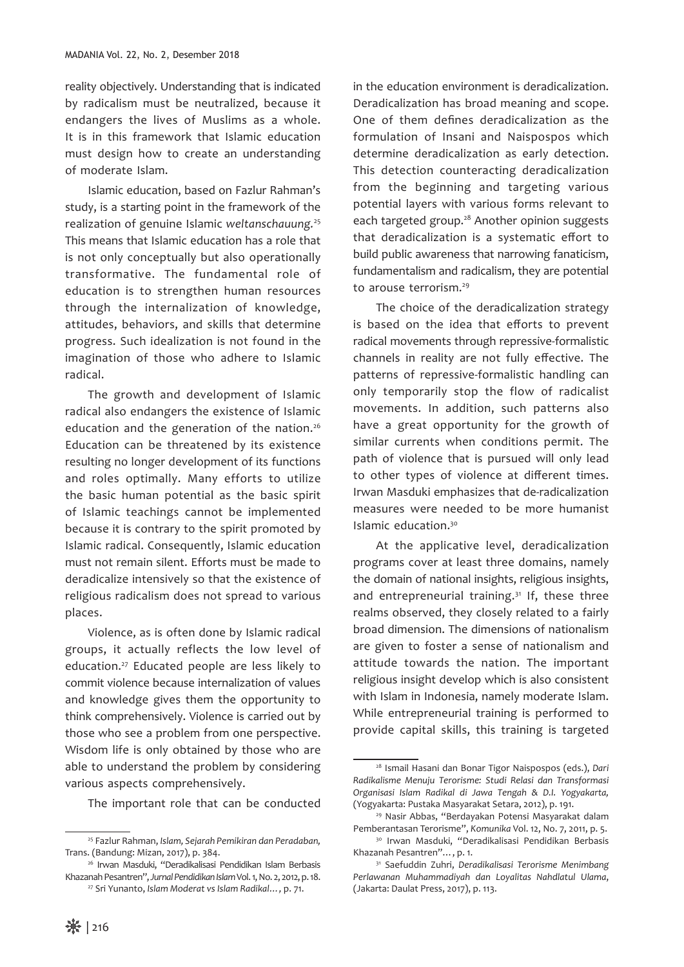reality objectively. Understanding that is indicated by radicalism must be neutralized, because it endangers the lives of Muslims as a whole. It is in this framework that Islamic education must design how to create an understanding of moderate Islam.

Islamic education, based on Fazlur Rahman's study, is a starting point in the framework of the realization of genuine Islamic *weltanschauung.*<sup>25</sup> This means that Islamic education has a role that is not only conceptually but also operationally transformative. The fundamental role of education is to strengthen human resources through the internalization of knowledge, attitudes, behaviors, and skills that determine progress. Such idealization is not found in the imagination of those who adhere to Islamic radical.

The growth and development of Islamic radical also endangers the existence of Islamic education and the generation of the nation.<sup>26</sup> Education can be threatened by its existence resulting no longer development of its functions and roles optimally. Many efforts to utilize the basic human potential as the basic spirit of Islamic teachings cannot be implemented because it is contrary to the spirit promoted by Islamic radical. Consequently, Islamic education must not remain silent. Efforts must be made to deradicalize intensively so that the existence of religious radicalism does not spread to various places.

Violence, as is often done by Islamic radical groups, it actually reflects the low level of education.27 Educated people are less likely to commit violence because internalization of values and knowledge gives them the opportunity to think comprehensively. Violence is carried out by those who see a problem from one perspective. Wisdom life is only obtained by those who are able to understand the problem by considering various aspects comprehensively.

The important role that can be conducted

in the education environment is deradicalization. Deradicalization has broad meaning and scope. One of them defines deradicalization as the formulation of Insani and Naispospos which determine deradicalization as early detection. This detection counteracting deradicalization from the beginning and targeting various potential layers with various forms relevant to each targeted group.<sup>28</sup> Another opinion suggests that deradicalization is a systematic effort to build public awareness that narrowing fanaticism, fundamentalism and radicalism, they are potential to arouse terrorism.29

The choice of the deradicalization strategy is based on the idea that efforts to prevent radical movements through repressive-formalistic channels in reality are not fully effective. The patterns of repressive-formalistic handling can only temporarily stop the flow of radicalist movements. In addition, such patterns also have a great opportunity for the growth of similar currents when conditions permit. The path of violence that is pursued will only lead to other types of violence at different times. Irwan Masduki emphasizes that de-radicalization measures were needed to be more humanist Islamic education.30

At the applicative level, deradicalization programs cover at least three domains, namely the domain of national insights, religious insights, and entrepreneurial training.<sup>31</sup> If, these three realms observed, they closely related to a fairly broad dimension. The dimensions of nationalism are given to foster a sense of nationalism and attitude towards the nation. The important religious insight develop which is also consistent with Islam in Indonesia, namely moderate Islam. While entrepreneurial training is performed to provide capital skills, this training is targeted

<sup>25</sup> Fazlur Rahman, *Islam, Sejarah Pemikiran dan Peradaban,*  Trans. (Bandung: Mizan, 2017), p. 384.

<sup>26</sup> Irwan Masduki, "Deradikalisasi Pendidikan Islam Berbasis Khazanah Pesantren", *Jurnal Pendidikan Islam* Vol. 1, No. 2, 2012, p. 18.

<sup>27</sup> Sri Yunanto, *Islam Moderat vs Islam Radikal…,* p. 71.

<sup>28</sup> Ismail Hasani dan Bonar Tigor Naispospos (eds.), *Dari Radikalisme Menuju Terorisme: Studi Relasi dan Transformasi Organisasi Islam Radikal di Jawa Tengah & D.I. Yogyakarta,*  (Yogyakarta: Pustaka Masyarakat Setara, 2012), p. 191.

<sup>29</sup> Nasir Abbas, "Berdayakan Potensi Masyarakat dalam Pemberantasan Terorisme", *Komunika* Vol. 12, No. 7, 2011, p. 5.

<sup>30</sup> Irwan Masduki, "Deradikalisasi Pendidikan Berbasis Khazanah Pesantren"…, p. 1.

<sup>31</sup> Saefuddin Zuhri, *Deradikalisasi Terorisme Menimbang Perlawanan Muhammadiyah dan Loyalitas Nahdlatul Ulama*, (Jakarta: Daulat Press, 2017), p. 113.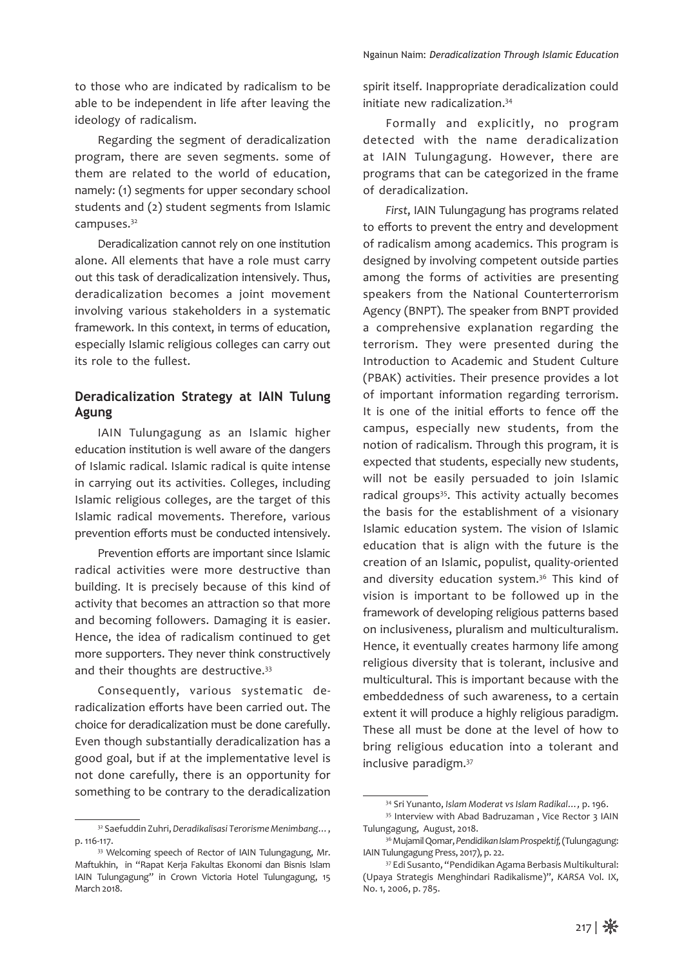to those who are indicated by radicalism to be able to be independent in life after leaving the ideology of radicalism.

Regarding the segment of deradicalization program, there are seven segments. some of them are related to the world of education, namely: (1) segments for upper secondary school students and (2) student segments from Islamic campuses.<sup>32</sup>

Deradicalization cannot rely on one institution alone. All elements that have a role must carry out this task of deradicalization intensively. Thus, deradicalization becomes a joint movement involving various stakeholders in a systematic framework. In this context, in terms of education, especially Islamic religious colleges can carry out its role to the fullest.

## **Deradicalization Strategy at IAIN Tulung Agung**

IAIN Tulungagung as an Islamic higher education institution is well aware of the dangers of Islamic radical. Islamic radical is quite intense in carrying out its activities. Colleges, including Islamic religious colleges, are the target of this Islamic radical movements. Therefore, various prevention efforts must be conducted intensively.

Prevention efforts are important since Islamic radical activities were more destructive than building. It is precisely because of this kind of activity that becomes an attraction so that more and becoming followers. Damaging it is easier. Hence, the idea of radicalism continued to get more supporters. They never think constructively and their thoughts are destructive.<sup>33</sup>

Consequently, various systematic deradicalization efforts have been carried out. The choice for deradicalization must be done carefully. Even though substantially deradicalization has a good goal, but if at the implementative level is not done carefully, there is an opportunity for something to be contrary to the deradicalization spirit itself. Inappropriate deradicalization could initiate new radicalization.34

Formally and explicitly, no program detected with the name deradicalization at IAIN Tulungagung. However, there are programs that can be categorized in the frame of deradicalization.

*First*, IAIN Tulungagung has programs related to efforts to prevent the entry and development of radicalism among academics. This program is designed by involving competent outside parties among the forms of activities are presenting speakers from the National Counterterrorism Agency (BNPT). The speaker from BNPT provided a comprehensive explanation regarding the terrorism. They were presented during the Introduction to Academic and Student Culture (PBAK) activities. Their presence provides a lot of important information regarding terrorism. It is one of the initial efforts to fence off the campus, especially new students, from the notion of radicalism. Through this program, it is expected that students, especially new students, will not be easily persuaded to join Islamic radical groups<sup>35</sup>. This activity actually becomes the basis for the establishment of a visionary Islamic education system. The vision of Islamic education that is align with the future is the creation of an Islamic, populist, quality-oriented and diversity education system.<sup>36</sup> This kind of vision is important to be followed up in the framework of developing religious patterns based on inclusiveness, pluralism and multiculturalism. Hence, it eventually creates harmony life among religious diversity that is tolerant, inclusive and multicultural. This is important because with the embeddedness of such awareness, to a certain extent it will produce a highly religious paradigm. These all must be done at the level of how to bring religious education into a tolerant and inclusive paradigm.37

<sup>32</sup> Saefuddin Zuhri, *Deradikalisasi Terorisme Menimbang…*, p. 116-117.

<sup>33</sup> Welcoming speech of Rector of IAIN Tulungagung, Mr. Maftukhin, in "Rapat Kerja Fakultas Ekonomi dan Bisnis Islam IAIN Tulungagung" in Crown Victoria Hotel Tulungagung, 15 March 2018.

<sup>34</sup> Sri Yunanto, *Islam Moderat vs Islam Radikal…,* p. 196.

<sup>35</sup> Interview with Abad Badruzaman , Vice Rector 3 IAIN Tulungagung, August, 2018.

<sup>36</sup> Mujamil Qomar, *Pendidikan Islam Prospektif,* (Tulungagung: IAIN Tulungagung Press, 2017), p. 22.

<sup>37</sup> Edi Susanto, "Pendidikan Agama Berbasis Multikultural: (Upaya Strategis Menghindari Radikalisme)", *KARSA* Vol. IX, No. 1, 2006, p. 785.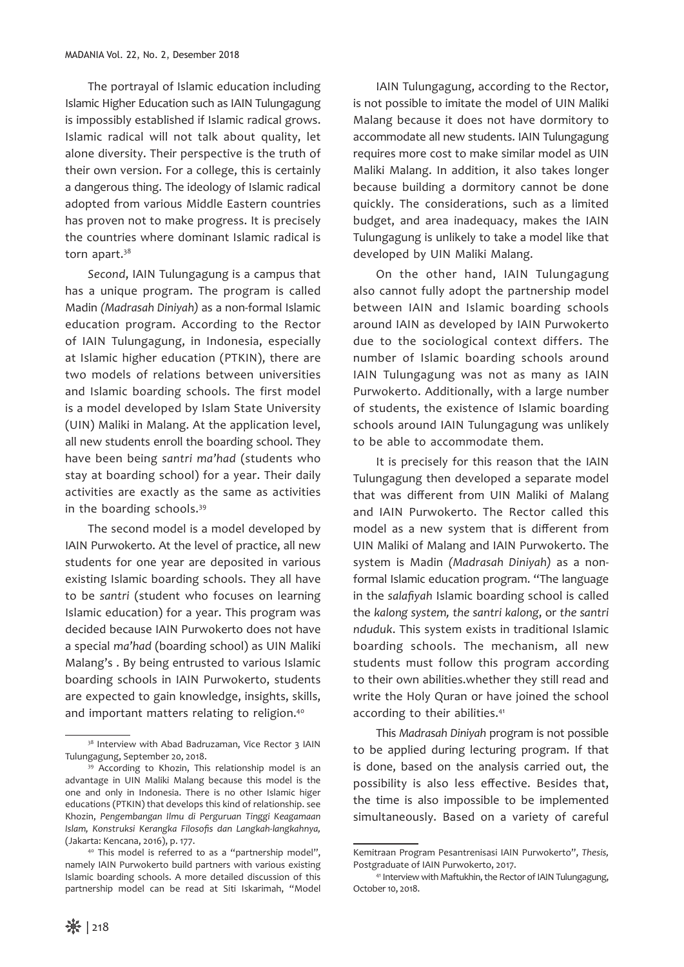The portrayal of Islamic education including Islamic Higher Education such as IAIN Tulungagung is impossibly established if Islamic radical grows. Islamic radical will not talk about quality, let alone diversity. Their perspective is the truth of their own version. For a college, this is certainly a dangerous thing. The ideology of Islamic radical adopted from various Middle Eastern countries has proven not to make progress. It is precisely the countries where dominant Islamic radical is torn apart.<sup>38</sup>

*Second*, IAIN Tulungagung is a campus that has a unique program. The program is called Madin *(Madrasah Diniyah)* as a non-formal Islamic education program. According to the Rector of IAIN Tulungagung, in Indonesia, especially at Islamic higher education (PTKIN), there are two models of relations between universities and Islamic boarding schools. The first model is a model developed by Islam State University (UIN) Maliki in Malang. At the application level, all new students enroll the boarding school. They have been being *santri ma'had* (students who stay at boarding school) for a year. Their daily activities are exactly as the same as activities in the boarding schools.39

The second model is a model developed by IAIN Purwokerto. At the level of practice, all new students for one year are deposited in various existing Islamic boarding schools. They all have to be *santri* (student who focuses on learning Islamic education) for a year. This program was decided because IAIN Purwokerto does not have a special *ma'had* (boarding school) as UIN Maliki Malang's . By being entrusted to various Islamic boarding schools in IAIN Purwokerto, students are expected to gain knowledge, insights, skills, and important matters relating to religion.<sup>40</sup>

IAIN Tulungagung, according to the Rector, is not possible to imitate the model of UIN Maliki Malang because it does not have dormitory to accommodate all new students. IAIN Tulungagung requires more cost to make similar model as UIN Maliki Malang. In addition, it also takes longer because building a dormitory cannot be done quickly. The considerations, such as a limited budget, and area inadequacy, makes the IAIN Tulungagung is unlikely to take a model like that developed by UIN Maliki Malang.

On the other hand, IAIN Tulungagung also cannot fully adopt the partnership model between IAIN and Islamic boarding schools around IAIN as developed by IAIN Purwokerto due to the sociological context differs. The number of Islamic boarding schools around IAIN Tulungagung was not as many as IAIN Purwokerto. Additionally, with a large number of students, the existence of Islamic boarding schools around IAIN Tulungagung was unlikely to be able to accommodate them.

It is precisely for this reason that the IAIN Tulungagung then developed a separate model that was different from UIN Maliki of Malang and IAIN Purwokerto. The Rector called this model as a new system that is different from UIN Maliki of Malang and IAIN Purwokerto. The system is Madin *(Madrasah Diniyah)* as a nonformal Islamic education program. "The language in the *salafiyah* Islamic boarding school is called the *kalong system, the santri kalong*, or *the santri nduduk*. This system exists in traditional Islamic boarding schools. The mechanism, all new students must follow this program according to their own abilities.whether they still read and write the Holy Quran or have joined the school according to their abilities.<sup>41</sup>

This *Madrasah Diniyah* program is not possible to be applied during lecturing program. If that is done, based on the analysis carried out, the possibility is also less effective. Besides that, the time is also impossible to be implemented simultaneously. Based on a variety of careful

<sup>&</sup>lt;sup>38</sup> Interview with Abad Badruzaman, Vice Rector 3 IAIN Tulungagung, September 20, 2018.

<sup>&</sup>lt;sup>39</sup> According to Khozin, This relationship model is an advantage in UIN Maliki Malang because this model is the one and only in Indonesia. There is no other Islamic higer educations (PTKIN) that develops this kind of relationship. see Khozin, *Pengembangan Ilmu di Perguruan Tinggi Keagamaan Islam, Konstruksi Kerangka Filosofis dan Langkah-langkahnya,*  (Jakarta: Kencana, 2016), p. 177. 40 This model is referred to as a "partnership model",

namely IAIN Purwokerto build partners with various existing Islamic boarding schools. A more detailed discussion of this partnership model can be read at Siti Iskarimah, "Model

Kemitraan Program Pesantrenisasi IAIN Purwokerto", *Thesis,*  Postgraduate of IAIN Purwokerto, 2017.

<sup>41</sup> Interview with Maftukhin, the Rector of IAIN Tulungagung, October 10, 2018.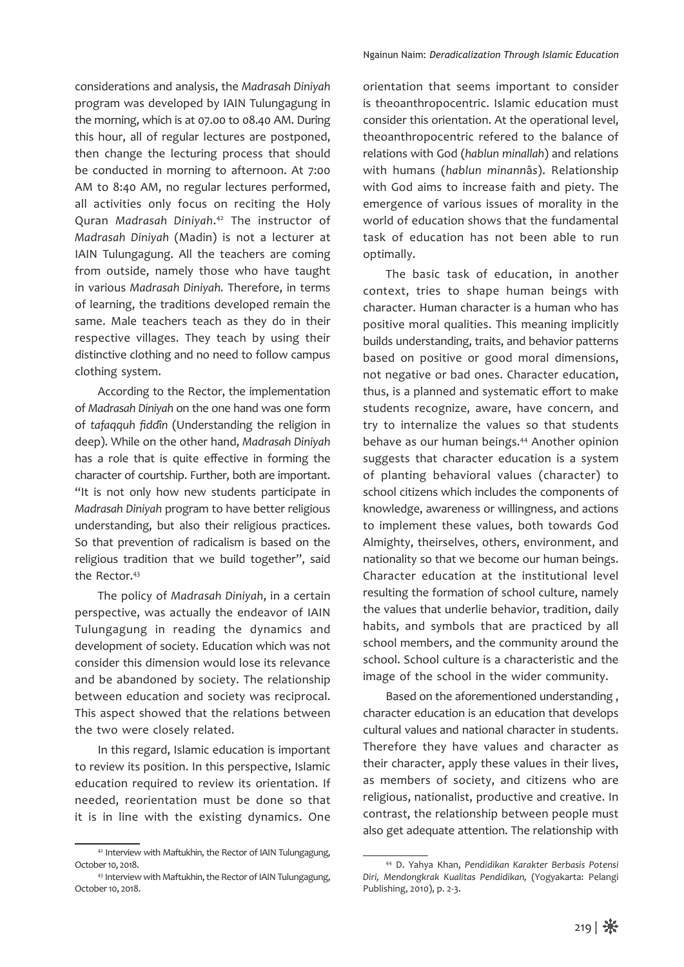considerations and analysis, the *Madrasah Diniyah*  program was developed by IAIN Tulungagung in the morning, which is at 07.00 to 08.40 AM. During this hour, all of regular lectures are postponed, then change the lecturing process that should be conducted in morning to afternoon. At 7:00 AM to 8:40 AM, no regular lectures performed, all activities only focus on reciting the Holy Quran *Madrasah Diniyah*. 42 The instructor of *Madrasah Diniyah* (Madin) is not a lecturer at IAIN Tulungagung. All the teachers are coming from outside, namely those who have taught in various *Madrasah Diniyah.* Therefore, in terms of learning, the traditions developed remain the same. Male teachers teach as they do in their respective villages. They teach by using their distinctive clothing and no need to follow campus clothing system.

According to the Rector, the implementation of *Madrasah Diniyah* on the one hand was one form of *tafaqquh fidd*î*n* (Understanding the religion in deep). While on the other hand, *Madrasah Diniyah* has a role that is quite effective in forming the character of courtship. Further, both are important. "It is not only how new students participate in *Madrasah Diniyah* program to have better religious understanding, but also their religious practices. So that prevention of radicalism is based on the religious tradition that we build together", said the Rector.<sup>43</sup>

The policy of *Madrasah Diniyah*, in a certain perspective, was actually the endeavor of IAIN Tulungagung in reading the dynamics and development of society. Education which was not consider this dimension would lose its relevance and be abandoned by society. The relationship between education and society was reciprocal. This aspect showed that the relations between the two were closely related.

In this regard, Islamic education is important to review its position. In this perspective, Islamic education required to review its orientation. If needed, reorientation must be done so that it is in line with the existing dynamics. One

orientation that seems important to consider is theoanthropocentric. Islamic education must consider this orientation. At the operational level, theoanthropocentric refered to the balance of relations with God (*hablun minallah*) and relations with humans (*hablun minann*â*s*). Relationship with God aims to increase faith and piety. The emergence of various issues of morality in the world of education shows that the fundamental task of education has not been able to run optimally.

The basic task of education, in another context, tries to shape human beings with character. Human character is a human who has positive moral qualities. This meaning implicitly builds understanding, traits, and behavior patterns based on positive or good moral dimensions, not negative or bad ones. Character education, thus, is a planned and systematic effort to make students recognize, aware, have concern, and try to internalize the values so that students behave as our human beings.44 Another opinion suggests that character education is a system of planting behavioral values (character) to school citizens which includes the components of knowledge, awareness or willingness, and actions to implement these values, both towards God Almighty, theirselves, others, environment, and nationality so that we become our human beings. Character education at the institutional level resulting the formation of school culture, namely the values that underlie behavior, tradition, daily habits, and symbols that are practiced by all school members, and the community around the school. School culture is a characteristic and the image of the school in the wider community.

Based on the aforementioned understanding , character education is an education that develops cultural values and national character in students. Therefore they have values and character as their character, apply these values in their lives, as members of society, and citizens who are religious, nationalist, productive and creative. In contrast, the relationship between people must also get adequate attention. The relationship with

<sup>42</sup> Interview with Maftukhin, the Rector of IAIN Tulungagung, October 10, 2018.

<sup>43</sup> Interview with Maftukhin, the Rector of IAIN Tulungagung, October 10, 2018.

<sup>44</sup> D. Yahya Khan, *Pendidikan Karakter Berbasis Potensi Diri, Mendongkrak Kualitas Pendidikan,* (Yogyakarta: Pelangi Publishing, 2010), p. 2-3.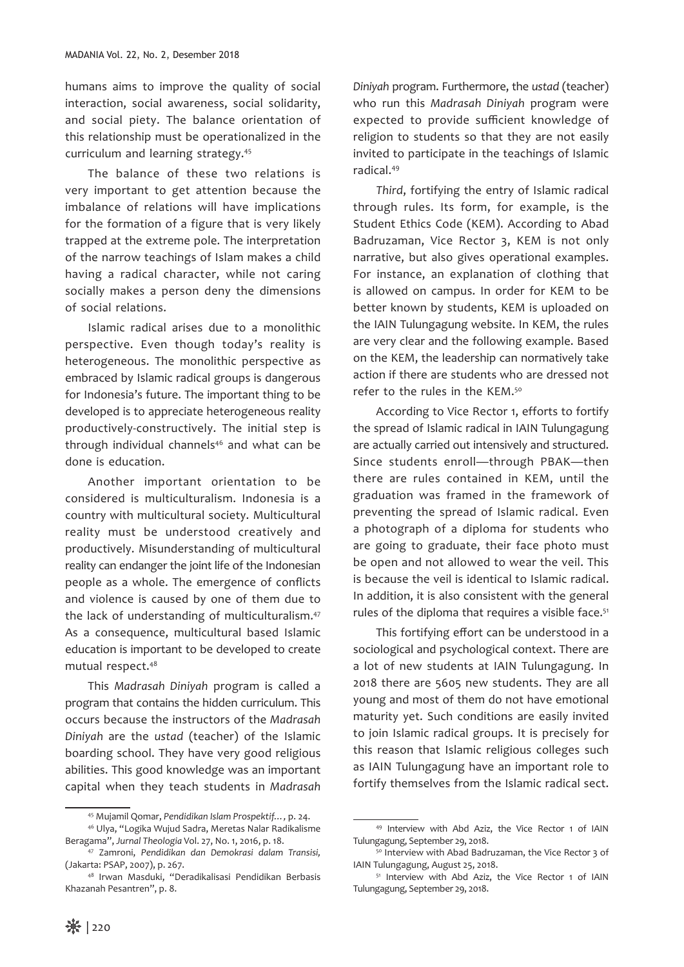humans aims to improve the quality of social interaction, social awareness, social solidarity, and social piety. The balance orientation of this relationship must be operationalized in the curriculum and learning strategy.45

The balance of these two relations is very important to get attention because the imbalance of relations will have implications for the formation of a figure that is very likely trapped at the extreme pole. The interpretation of the narrow teachings of Islam makes a child having a radical character, while not caring socially makes a person deny the dimensions of social relations.

Islamic radical arises due to a monolithic perspective. Even though today's reality is heterogeneous. The monolithic perspective as embraced by Islamic radical groups is dangerous for Indonesia's future. The important thing to be developed is to appreciate heterogeneous reality productively-constructively. The initial step is through individual channels<sup>46</sup> and what can be done is education.

Another important orientation to be considered is multiculturalism. Indonesia is a country with multicultural society. Multicultural reality must be understood creatively and productively. Misunderstanding of multicultural reality can endanger the joint life of the Indonesian people as a whole. The emergence of conflicts and violence is caused by one of them due to the lack of understanding of multiculturalism.47 As a consequence, multicultural based Islamic education is important to be developed to create mutual respect.48

This *Madrasah Diniyah* program is called a program that contains the hidden curriculum. This occurs because the instructors of the *Madrasah Diniyah* are the *ustad* (teacher) of the Islamic boarding school. They have very good religious abilities. This good knowledge was an important capital when they teach students in *Madrasah*  *Diniyah* program. Furthermore, the *ustad* (teacher) who run this *Madrasah Diniyah* program were expected to provide sufficient knowledge of religion to students so that they are not easily invited to participate in the teachings of Islamic radical.49

*Third*, fortifying the entry of Islamic radical through rules. Its form, for example, is the Student Ethics Code (KEM). According to Abad Badruzaman, Vice Rector 3, KEM is not only narrative, but also gives operational examples. For instance, an explanation of clothing that is allowed on campus. In order for KEM to be better known by students, KEM is uploaded on the IAIN Tulungagung website. In KEM, the rules are very clear and the following example. Based on the KEM, the leadership can normatively take action if there are students who are dressed not refer to the rules in the KEM.50

According to Vice Rector 1, efforts to fortify the spread of Islamic radical in IAIN Tulungagung are actually carried out intensively and structured. Since students enroll—through PBAK—then there are rules contained in KEM, until the graduation was framed in the framework of preventing the spread of Islamic radical. Even a photograph of a diploma for students who are going to graduate, their face photo must be open and not allowed to wear the veil. This is because the veil is identical to Islamic radical. In addition, it is also consistent with the general rules of the diploma that requires a visible face.<sup>51</sup>

This fortifying effort can be understood in a sociological and psychological context. There are a lot of new students at IAIN Tulungagung. In 2018 there are 5605 new students. They are all young and most of them do not have emotional maturity yet. Such conditions are easily invited to join Islamic radical groups. It is precisely for this reason that Islamic religious colleges such as IAIN Tulungagung have an important role to fortify themselves from the Islamic radical sect.

<sup>45</sup> Mujamil Qomar, *Pendidikan Islam Prospektif…,* p. 24. <sup>46</sup> Ulya, "Logika Wujud Sadra, Meretas Nalar Radikalisme

Beragama", *Jurnal Theologia* Vol. 27, No. 1, 2016, p. 18. 47 Zamroni, *Pendidikan dan Demokrasi dalam Transisi,* 

<sup>(</sup>Jakarta: PSAP, 2007), p. 267. 48 Irwan Masduki, "Deradikalisasi Pendidikan Berbasis

Khazanah Pesantren", p. 8.

<sup>49</sup> Interview with Abd Aziz, the Vice Rector 1 of IAIN Tulungagung, September 29, 2018.

<sup>50</sup> Interview with Abad Badruzaman, the Vice Rector 3 of IAIN Tulungagung, August 25, 2018.

<sup>51</sup> Interview with Abd Aziz, the Vice Rector 1 of IAIN Tulungagung, September 29, 2018.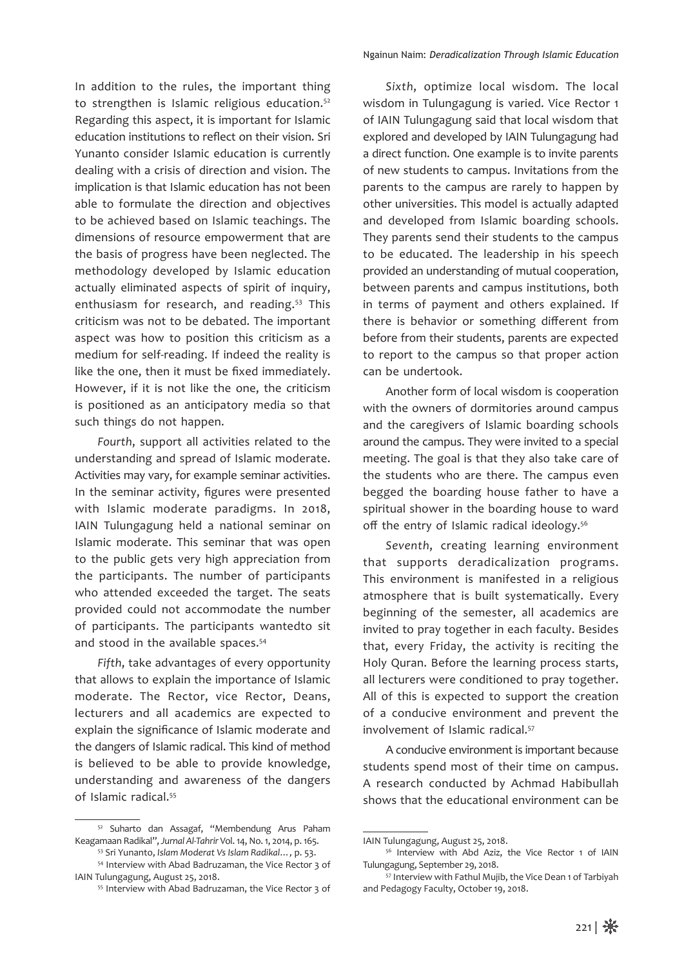In addition to the rules, the important thing to strengthen is Islamic religious education.<sup>52</sup> Regarding this aspect, it is important for Islamic education institutions to reflect on their vision. Sri Yunanto consider Islamic education is currently dealing with a crisis of direction and vision. The implication is that Islamic education has not been able to formulate the direction and objectives to be achieved based on Islamic teachings. The dimensions of resource empowerment that are the basis of progress have been neglected. The methodology developed by Islamic education actually eliminated aspects of spirit of inquiry, enthusiasm for research, and reading.<sup>53</sup> This criticism was not to be debated. The important aspect was how to position this criticism as a medium for self-reading. If indeed the reality is like the one, then it must be fixed immediately. However, if it is not like the one, the criticism is positioned as an anticipatory media so that such things do not happen.

*Fourth*, support all activities related to the understanding and spread of Islamic moderate. Activities may vary, for example seminar activities. In the seminar activity, figures were presented with Islamic moderate paradigms. In 2018, IAIN Tulungagung held a national seminar on Islamic moderate. This seminar that was open to the public gets very high appreciation from the participants. The number of participants who attended exceeded the target. The seats provided could not accommodate the number of participants. The participants wantedto sit and stood in the available spaces.<sup>54</sup>

*Fifth*, take advantages of every opportunity that allows to explain the importance of Islamic moderate. The Rector, vice Rector, Deans, lecturers and all academics are expected to explain the significance of Islamic moderate and the dangers of Islamic radical. This kind of method is believed to be able to provide knowledge, understanding and awareness of the dangers of Islamic radical.55

*Sixth*, optimize local wisdom. The local wisdom in Tulungagung is varied. Vice Rector 1 of IAIN Tulungagung said that local wisdom that explored and developed by IAIN Tulungagung had a direct function. One example is to invite parents of new students to campus. Invitations from the parents to the campus are rarely to happen by other universities. This model is actually adapted and developed from Islamic boarding schools. They parents send their students to the campus to be educated. The leadership in his speech provided an understanding of mutual cooperation, between parents and campus institutions, both in terms of payment and others explained. If there is behavior or something different from before from their students, parents are expected to report to the campus so that proper action can be undertook.

Another form of local wisdom is cooperation with the owners of dormitories around campus and the caregivers of Islamic boarding schools around the campus. They were invited to a special meeting. The goal is that they also take care of the students who are there. The campus even begged the boarding house father to have a spiritual shower in the boarding house to ward off the entry of Islamic radical ideology.<sup>56</sup>

*Seventh*, creating learning environment that supports deradicalization programs. This environment is manifested in a religious atmosphere that is built systematically. Every beginning of the semester, all academics are invited to pray together in each faculty. Besides that, every Friday, the activity is reciting the Holy Quran. Before the learning process starts, all lecturers were conditioned to pray together. All of this is expected to support the creation of a conducive environment and prevent the involvement of Islamic radical.<sup>57</sup>

A conducive environment is important because students spend most of their time on campus. A research conducted by Achmad Habibullah shows that the educational environment can be

<sup>52</sup> Suharto dan Assagaf, "Membendung Arus Paham Keagamaan Radikal", *Jurnal Al-Tahrir* Vol. 14, No. 1, 2014, p. 165.

<sup>&</sup>lt;sup>53</sup> Sri Yunanto, *Islam Moderat Vs Islam Radikal...*, p. 53.<br><sup>54</sup> Interview with Abad Badruzaman, the Vice Rector 3 of

IAIN Tulungagung, August 25, 2018.

<sup>55</sup> Interview with Abad Badruzaman, the Vice Rector 3 of

IAIN Tulungagung, August 25, 2018.

<sup>56</sup> Interview with Abd Aziz, the Vice Rector 1 of IAIN Tulungagung, September 29, 2018.

<sup>57</sup> Interview with Fathul Mujib, the Vice Dean 1 of Tarbiyah and Pedagogy Faculty, October 19, 2018.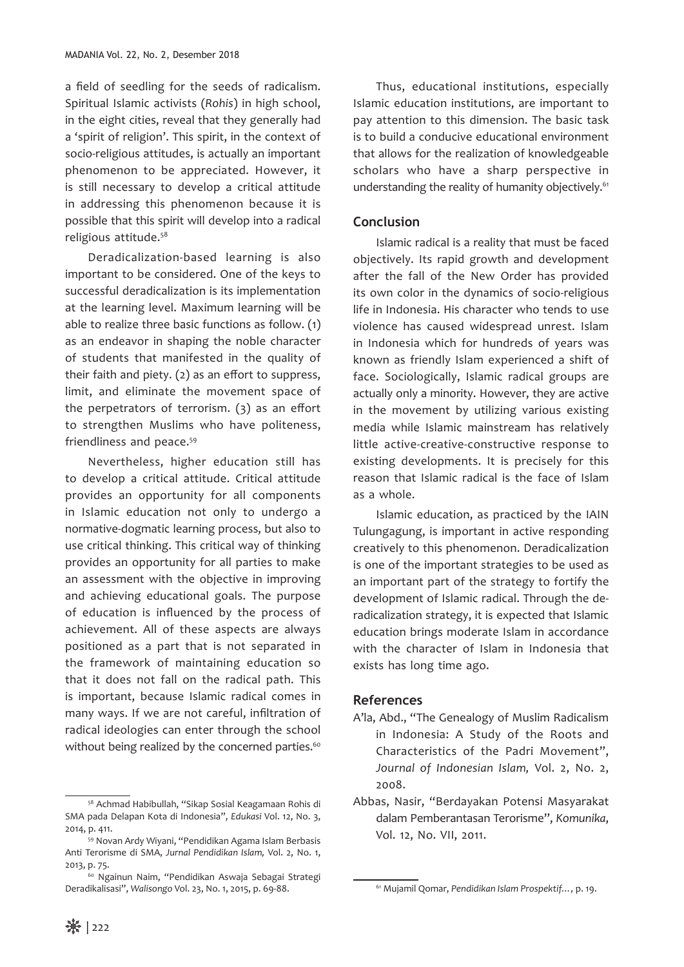a field of seedling for the seeds of radicalism. Spiritual Islamic activists (*Rohis*) in high school, in the eight cities, reveal that they generally had a 'spirit of religion'. This spirit, in the context of socio-religious attitudes, is actually an important phenomenon to be appreciated. However, it is still necessary to develop a critical attitude in addressing this phenomenon because it is possible that this spirit will develop into a radical religious attitude.58

Deradicalization-based learning is also important to be considered. One of the keys to successful deradicalization is its implementation at the learning level. Maximum learning will be able to realize three basic functions as follow. (1) as an endeavor in shaping the noble character of students that manifested in the quality of their faith and piety. (2) as an effort to suppress, limit, and eliminate the movement space of the perpetrators of terrorism. (3) as an effort to strengthen Muslims who have politeness, friendliness and peace.<sup>59</sup>

Nevertheless, higher education still has to develop a critical attitude. Critical attitude provides an opportunity for all components in Islamic education not only to undergo a normative-dogmatic learning process, but also to use critical thinking. This critical way of thinking provides an opportunity for all parties to make an assessment with the objective in improving and achieving educational goals. The purpose of education is influenced by the process of achievement. All of these aspects are always positioned as a part that is not separated in the framework of maintaining education so that it does not fall on the radical path. This is important, because Islamic radical comes in many ways. If we are not careful, infiltration of radical ideologies can enter through the school without being realized by the concerned parties.<sup>60</sup>

Thus, educational institutions, especially Islamic education institutions, are important to pay attention to this dimension. The basic task is to build a conducive educational environment that allows for the realization of knowledgeable scholars who have a sharp perspective in understanding the reality of humanity objectively.<sup>61</sup>

## **Conclusion**

Islamic radical is a reality that must be faced objectively. Its rapid growth and development after the fall of the New Order has provided its own color in the dynamics of socio-religious life in Indonesia. His character who tends to use violence has caused widespread unrest. Islam in Indonesia which for hundreds of years was known as friendly Islam experienced a shift of face. Sociologically, Islamic radical groups are actually only a minority. However, they are active in the movement by utilizing various existing media while Islamic mainstream has relatively little active-creative-constructive response to existing developments. It is precisely for this reason that Islamic radical is the face of Islam as a whole.

Islamic education, as practiced by the IAIN Tulungagung, is important in active responding creatively to this phenomenon. Deradicalization is one of the important strategies to be used as an important part of the strategy to fortify the development of Islamic radical. Through the deradicalization strategy, it is expected that Islamic education brings moderate Islam in accordance with the character of Islam in Indonesia that exists has long time ago.

### **References**

- A'la, Abd., "The Genealogy of Muslim Radicalism in Indonesia: A Study of the Roots and Characteristics of the Padri Movement", *Journal of Indonesian Islam,* Vol. 2, No. 2, 2008.
- Abbas, Nasir, "Berdayakan Potensi Masyarakat dalam Pemberantasan Terorisme", *Komunika*, Vol. 12, No. VII, 2011.

<sup>58</sup> Achmad Habibullah, "Sikap Sosial Keagamaan Rohis di SMA pada Delapan Kota di Indonesia", *Edukasi* Vol. 12, No. 3, 2014, p. 411.

<sup>59</sup> Novan Ardy Wiyani, "Pendidikan Agama Islam Berbasis Anti Terorisme di SMA, *Jurnal Pendidikan Islam,* Vol. 2, No. 1, 2013, p. 75. 60 Ngainun Naim, "Pendidikan Aswaja Sebagai Strategi

Deradikalisasi", *Walisongo* Vol. 23, No. 1, 2015, p. 69-88.

<sup>61</sup> Mujamil Qomar, *Pendidikan Islam Prospektif…,* p. 19.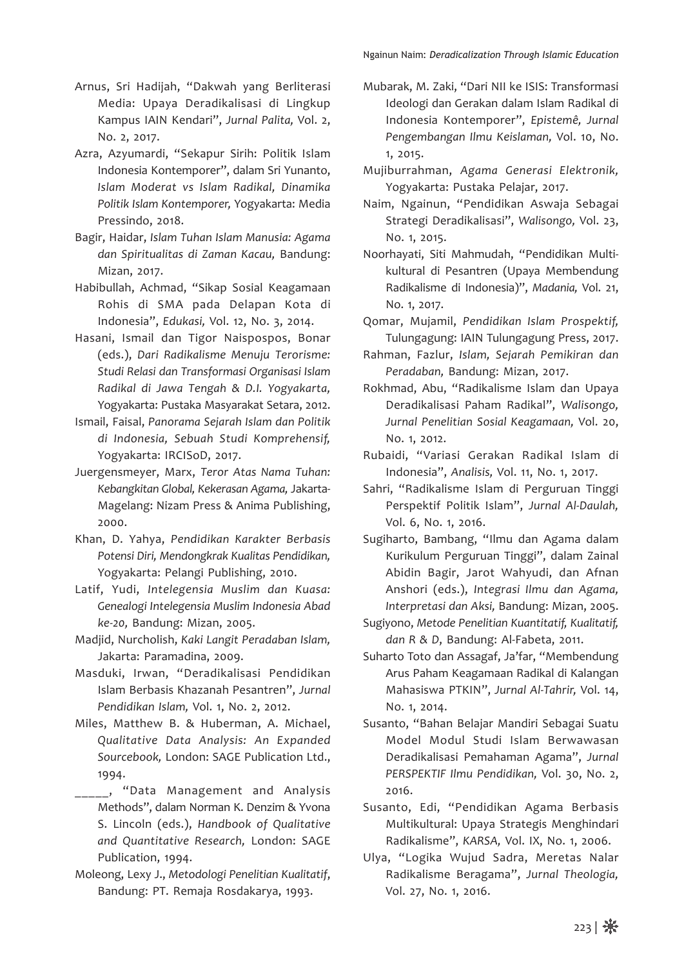- Arnus, Sri Hadijah, "Dakwah yang Berliterasi Media: Upaya Deradikalisasi di Lingkup Kampus IAIN Kendari", *Jurnal Palita,* Vol. 2, No. 2, 2017.
- Azra, Azyumardi, "Sekapur Sirih: Politik Islam Indonesia Kontemporer", dalam Sri Yunanto, *Islam Moderat vs Islam Radikal, Dinamika Politik Islam Kontemporer,* Yogyakarta: Media Pressindo, 2018.
- Bagir, Haidar, *Islam Tuhan Islam Manusia: Agama dan Spiritualitas di Zaman Kacau,* Bandung: Mizan, 2017.
- Habibullah, Achmad, "Sikap Sosial Keagamaan Rohis di SMA pada Delapan Kota di Indonesia", *Edukasi,* Vol. 12, No. 3, 2014.
- Hasani, Ismail dan Tigor Naispospos, Bonar (eds.), *Dari Radikalisme Menuju Terorisme: Studi Relasi dan Transformasi Organisasi Islam Radikal di Jawa Tengah & D.I. Yogyakarta,*  Yogyakarta: Pustaka Masyarakat Setara, 2012.
- Ismail, Faisal, *Panorama Sejarah Islam dan Politik di Indonesia, Sebuah Studi Komprehensif,*  Yogyakarta: IRCISoD, 2017.
- Juergensmeyer, Marx, *Teror Atas Nama Tuhan: Kebangkitan Global, Kekerasan Agama,* Jakarta-Magelang: Nizam Press & Anima Publishing, 2000.
- Khan, D. Yahya, *Pendidikan Karakter Berbasis Potensi Diri, Mendongkrak Kualitas Pendidikan,*  Yogyakarta: Pelangi Publishing, 2010.
- Latif, Yudi, *Intelegensia Muslim dan Kuasa: Genealogi Intelegensia Muslim Indonesia Abad ke-20,* Bandung: Mizan, 2005.
- Madjid, Nurcholish, *Kaki Langit Peradaban Islam,*  Jakarta: Paramadina, 2009.
- Masduki, Irwan, "Deradikalisasi Pendidikan Islam Berbasis Khazanah Pesantren", *Jurnal Pendidikan Islam,* Vol. 1, No. 2, 2012.
- Miles, Matthew B. & Huberman, A. Michael, *Qualitative Data Analysis: An Expanded Sourcebook,* London: SAGE Publication Ltd., 1994.
- \_\_\_\_\_, "Data Management and Analysis Methods", dalam Norman K. Denzim & Yvona S. Lincoln (eds.), *Handbook of Qualitative and Quantitative Research,* London: SAGE Publication, 1994.
- Moleong, Lexy J., *Metodologi Penelitian Kualitatif*, Bandung: PT. Remaja Rosdakarya, 1993.
- Mubarak, M. Zaki, "Dari NII ke ISIS: Transformasi Ideologi dan Gerakan dalam Islam Radikal di Indonesia Kontemporer", *Epistemê, Jurnal Pengembangan Ilmu Keislaman,* Vol. 10, No. 1, 2015.
- Mujiburrahman, *Agama Generasi Elektronik,*  Yogyakarta: Pustaka Pelajar, 2017.
- Naim, Ngainun, "Pendidikan Aswaja Sebagai Strategi Deradikalisasi", *Walisongo,* Vol. 23, No. 1, 2015.
- Noorhayati, Siti Mahmudah, "Pendidikan Multikultural di Pesantren (Upaya Membendung Radikalisme di Indonesia)", *Madania,* Vol. 21, No. 1, 2017.
- Qomar, Mujamil, *Pendidikan Islam Prospektif,*  Tulungagung: IAIN Tulungagung Press, 2017.
- Rahman, Fazlur, *Islam, Sejarah Pemikiran dan Peradaban,* Bandung: Mizan, 2017.
- Rokhmad, Abu, "Radikalisme Islam dan Upaya Deradikalisasi Paham Radikal", *Walisongo, Jurnal Penelitian Sosial Keagamaan,* Vol. 20, No. 1, 2012.
- Rubaidi, "Variasi Gerakan Radikal Islam di Indonesia", *Analisis,* Vol. 11, No. 1, 2017.
- Sahri, "Radikalisme Islam di Perguruan Tinggi Perspektif Politik Islam", *Jurnal Al-Daulah,*  Vol. 6, No. 1, 2016.
- Sugiharto, Bambang, "Ilmu dan Agama dalam Kurikulum Perguruan Tinggi", dalam Zainal Abidin Bagir, Jarot Wahyudi, dan Afnan Anshori (eds.), *Integrasi Ilmu dan Agama, Interpretasi dan Aksi,* Bandung: Mizan, 2005.
- Sugiyono, *Metode Penelitian Kuantitatif, Kualitatif, dan R & D*, Bandung: Al-Fabeta, 2011.
- Suharto Toto dan Assagaf, Ja'far, "Membendung Arus Paham Keagamaan Radikal di Kalangan Mahasiswa PTKIN", *Jurnal Al-Tahrir,* Vol. 14, No. 1, 2014.
- Susanto, "Bahan Belajar Mandiri Sebagai Suatu Model Modul Studi Islam Berwawasan Deradikalisasi Pemahaman Agama", *Jurnal PERSPEKTIF Ilmu Pendidikan,* Vol. 30, No. 2, 2016.
- Susanto, Edi, "Pendidikan Agama Berbasis Multikultural: Upaya Strategis Menghindari Radikalisme", *KARSA,* Vol. IX, No. 1, 2006.
- Ulya, "Logika Wujud Sadra, Meretas Nalar Radikalisme Beragama", *Jurnal Theologia,*  Vol. 27, No. 1, 2016.